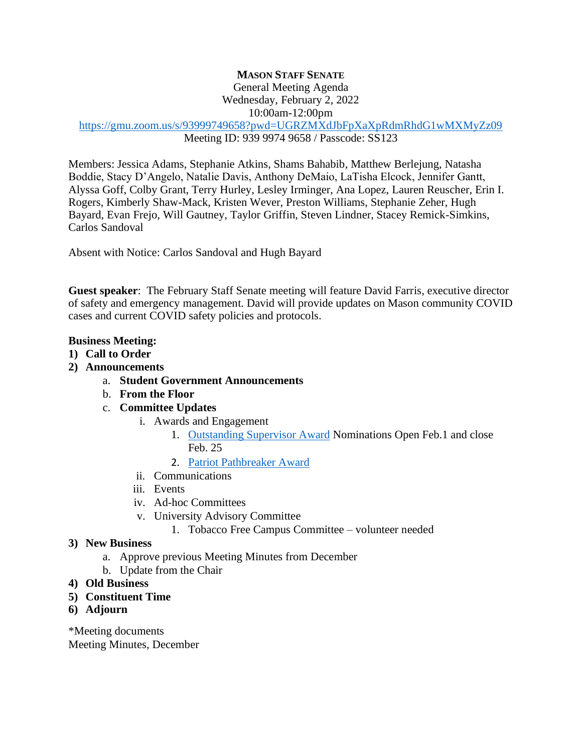## **MASON STAFF SENATE**

General Meeting Agenda

Wednesday, February 2, 2022

10:00am-12:00pm

<https://gmu.zoom.us/s/93999749658?pwd=UGRZMXdJbFpXaXpRdmRhdG1wMXMyZz09> Meeting ID: 939 9974 9658 / Passcode: SS123

Members: Jessica Adams, Stephanie Atkins, Shams Bahabib, Matthew Berlejung, Natasha Boddie, Stacy D'Angelo, Natalie Davis, Anthony DeMaio, LaTisha Elcock, Jennifer Gantt, Alyssa Goff, Colby Grant, Terry Hurley, Lesley Irminger, Ana Lopez, Lauren Reuscher, Erin I. Rogers, Kimberly Shaw-Mack, Kristen Wever, Preston Williams, Stephanie Zeher, Hugh Bayard, Evan Frejo, Will Gautney, Taylor Griffin, Steven Lindner, Stacey Remick-Simkins, Carlos Sandoval

Absent with Notice: Carlos Sandoval and Hugh Bayard

**Guest speaker**: The February Staff Senate meeting will feature [David Farris,](https://ehs.gmu.edu/faculty_staff/david-farris/) executive director of safety and emergency management. David will provide updates on Mason community COVID cases and current COVID safety policies and protocols.

## **Business Meeting:**

- **1) Call to Order**
- **2) Announcements** 
	- a. **Student Government Announcements**
	- b. **From the Floor**
	- c. **Committee Updates**
		- i. Awards and Engagement
			- 1. [Outstanding Supervisor Award](https://staffsenate.gmu.edu/ourwork/appreciate/outstandingsupervisoraward/) Nominations Open Feb.1 and close Feb. 25
			- 2. [Patriot Pathbreaker Award](https://hr.gmu.edu/reward-and-recognition/formal-recognition/outstanding-achievement-awards/)
		- ii. Communications
		- iii. Events
		- iv. Ad-hoc Committees
		- v. University Advisory Committee
			- 1. Tobacco Free Campus Committee volunteer needed
- **3) New Business**
	- a. Approve previous Meeting Minutes from December
	- b. Update from the Chair
- **4) Old Business**
- **5) Constituent Time**
- **6) Adjourn**

\*Meeting documents Meeting Minutes, December